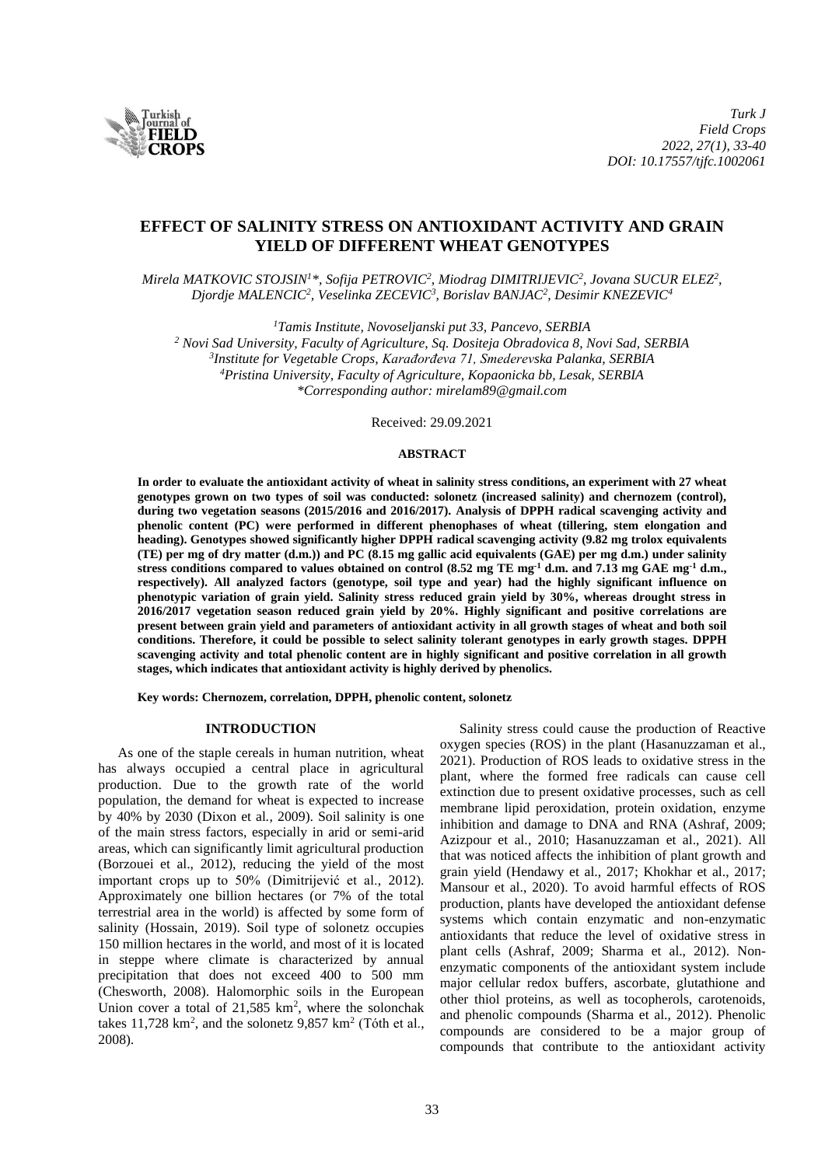

# **EFFECT OF SALINITY STRESS ON ANTIOXIDANT ACTIVITY AND GRAIN YIELD OF DIFFERENT WHEAT GENOTYPES**

*Mirela MATKOVIC STOJSIN<sup>1</sup>\*, Sofija PETROVIC<sup>2</sup> , Miodrag DIMITRIJEVIC<sup>2</sup> , Jovana SUCUR ELEZ<sup>2</sup> , Djordje MALENCIC<sup>2</sup> , Veselinka ZECEVIC<sup>3</sup> , Borislav BANJAC<sup>2</sup> , Desimir KNEZEVIC<sup>4</sup>*

*<sup>1</sup>Tamis Institute, Novoseljanski put 33, Pancevo, SERBIA*

 *Novi Sad University, Faculty of Agriculture, Sq. Dositeja Obradovica 8, Novi Sad, SERBIA Institute for Vegetable Crops, Karađorđeva 71, Smederevska Palanka, SERBIA Pristina University, Faculty of Agriculture, Kopaonicka bb, Lesak, SERBIA \*Corresponding author: mirelam89@gmail.com*

Received: 29.09.2021

# **ABSTRACT**

**In order to evaluate the antioxidant activity of wheat in salinity stress conditions, an experiment with 27 wheat genotypes grown on two types of soil was conducted: solonetz (increased salinity) and chernozem (control), during two vegetation seasons (2015/2016 and 2016/2017). Analysis of DPPH radical scavenging activity and phenolic content (PC) were performed in different phenophases of wheat (tillering, stem elongation and heading). Genotypes showed significantly higher DPPH radical scavenging activity (9.82 mg trolox equivalents (TE) per mg of dry matter (d.m.)) and PC (8.15 mg gallic acid equivalents (GAE) per mg d.m.) under salinity stress conditions compared to values obtained on control (8.52 mg TE mg-1 d.m. and 7.13 mg GAE mg-1 d.m., respectively). All analyzed factors (genotype, soil type and year) had the highly significant influence on phenotypic variation of grain yield. Salinity stress reduced grain yield by 30%, whereas drought stress in 2016/2017 vegetation season reduced grain yield by 20%. Highly significant and positive correlations are present between grain yield and parameters of antioxidant activity in all growth stages of wheat and both soil conditions. Therefore, it could be possible to select salinity tolerant genotypes in early growth stages. DPPH scavenging activity and total phenolic content are in highly significant and positive correlation in all growth stages, which indicates that antioxidant activity is highly derived by phenolics.**

**Key words: Chernozem, correlation, DPPH, phenolic content, solonetz**

## **INTRODUCTION**

As one of the staple cereals in human nutrition, wheat has always occupied a central place in agricultural production. Due to the growth rate of the world population, the demand for wheat is expected to increase by 40% by 2030 (Dixon et al., 2009). Soil salinity is one of the main stress factors, especially in arid or semi-arid areas, which can significantly limit agricultural production (Borzouei et al., 2012), reducing the yield of the most important crops up to 50% (Dimitrijević et al., 2012). Approximately one billion hectares (or 7% of the total terrestrial area in the world) is affected by some form of salinity (Hossain, 2019). Soil type of solonetz occupies 150 million hectares in the world, and most of it is located in steppe where climate is characterized by annual precipitation that does not exceed 400 to 500 mm (Chesworth, 2008). Halomorphic soils in the European Union cover a total of  $21,585$  km<sup>2</sup>, where the solonchak takes 11,728 km<sup>2</sup>, and the solonetz  $9,857$  km<sup>2</sup> (Tóth et al., 2008).

Salinity stress could cause the production of Reactive oxygen species (ROS) in the plant (Hasanuzzaman et al., 2021). Production of ROS leads to oxidative stress in the plant, where the formed free radicals can cause cell extinction due to present oxidative processes, such as cell membrane lipid peroxidation, protein oxidation, enzyme inhibition and damage to DNA and RNA (Ashraf, 2009; Azizpour et al., 2010; Hasanuzzaman et al., 2021). All that was noticed affects the inhibition of plant growth and grain yield (Hendawy et al., 2017; Khokhar et al., 2017; Mansour et al., 2020). To avoid harmful effects of ROS production, plants have developed the antioxidant defense systems which contain enzymatic and non-enzymatic antioxidants that reduce the level of oxidative stress in plant cells (Ashraf, 2009; Sharma et al., 2012). Nonenzymatic components of the antioxidant system include major cellular redox buffers, ascorbate, glutathione and other thiol proteins, as well as tocopherols, carotenoids, and phenolic compounds (Sharma et al., 2012). Phenolic compounds are considered to be a major group of compounds that contribute to the antioxidant activity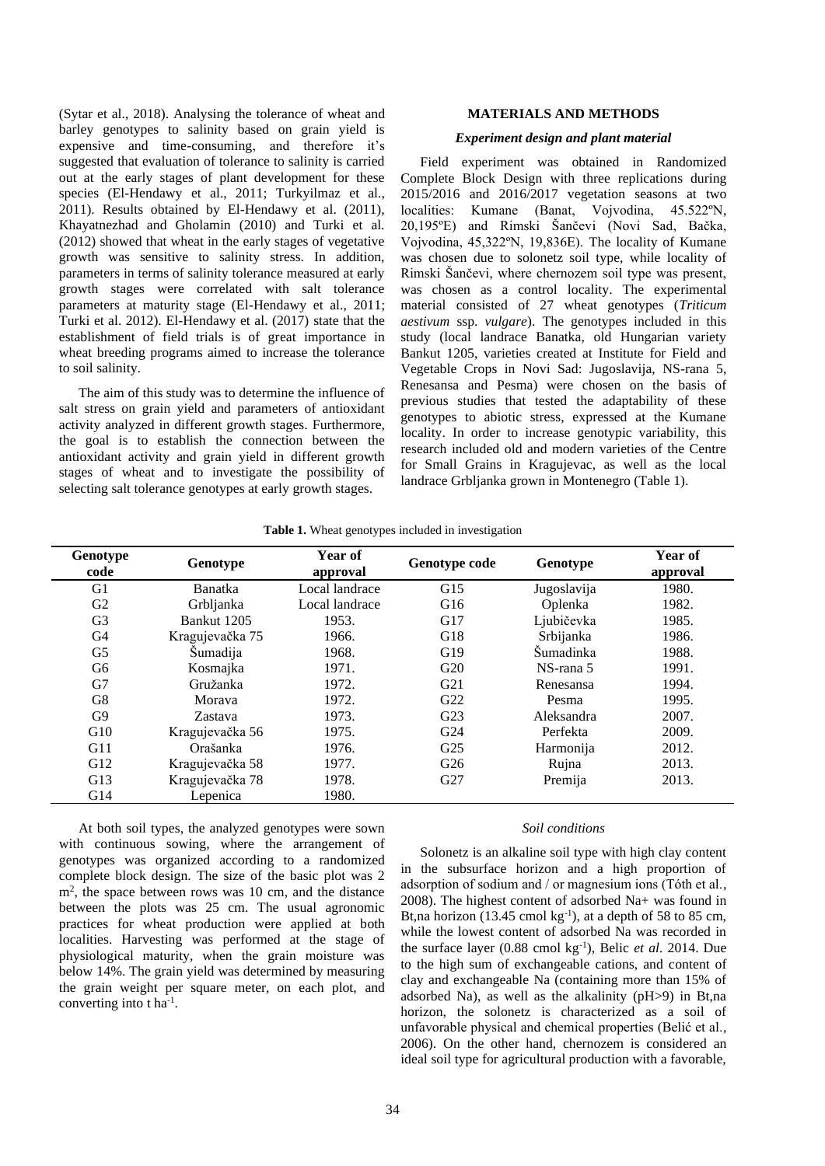(Sytar et al., 2018). Analysing the tolerance of wheat and barley genotypes to salinity based on grain yield is expensive and time-consuming, and therefore it's suggested that evaluation of tolerance to salinity is carried out at the early stages of plant development for these species (El-Hendawy et al., 2011; Turkyilmaz et al., 2011). Results obtained by El-Hendawy et al. (2011), Khayatnezhad and Gholamin (2010) and Turki et al. (2012) showed that wheat in the early stages of vegetative growth was sensitive to salinity stress. In addition, parameters in terms of salinity tolerance measured at early growth stages were correlated with salt tolerance parameters at maturity stage (El-Hendawy et al., 2011; Turki et al. 2012). El-Hendawy et al. (2017) state that the establishment of field trials is of great importance in wheat breeding programs aimed to increase the tolerance to soil salinity.

The aim of this study was to determine the influence of salt stress on grain yield and parameters of antioxidant activity analyzed in different growth stages. Furthermore, the goal is to establish the connection between the antioxidant activity and grain yield in different growth stages of wheat and to investigate the possibility of selecting salt tolerance genotypes at early growth stages.

# **MATERIALS AND METHODS**

## *Experiment design and plant material*

Field experiment was obtained in Randomized Complete Block Design with three replications during 2015/2016 and 2016/2017 vegetation seasons at two localities: Kumane (Banat, Vojvodina, 45.522ºN, 20,195ºE) and Rimski Šančevi (Novi Sad, Bačka, Vojvodina, 45,322ºN, 19,836E). The locality of Kumane was chosen due to solonetz soil type, while locality of Rimski Šančevi, where chernozem soil type was present, was chosen as a control locality. The experimental material consisted of 27 wheat genotypes (*Triticum aestivum* ssp. *vulgare*). The genotypes included in this study (local landrace Banatka, old Hungarian variety Bankut 1205, varieties created at Institute for Field and Vegetable Crops in Novi Sad: Jugoslavija, NS-rana 5, Renesansa and Pesma) were chosen on the basis of previous studies that tested the adaptability of these genotypes to abiotic stress, expressed at the Kumane locality. In order to increase genotypic variability, this research included old and modern varieties of the Centre for Small Grains in Kragujevac, as well as the local landrace Grbljanka grown in Montenegro (Table 1).

| Genotype<br>code | Genotype        | Year of<br>approval | Genotype code   | Genotype    | Year of<br>approval |
|------------------|-----------------|---------------------|-----------------|-------------|---------------------|
| G <sub>1</sub>   | <b>Banatka</b>  | Local landrace      | G15             | Jugoslavija | 1980.               |
| G <sub>2</sub>   | Grbljanka       | Local landrace      | G16             | Oplenka     | 1982.               |
| G <sub>3</sub>   | Bankut 1205     | 1953.               | G17             | Ljubičevka  | 1985.               |
| G4               | Kragujevačka 75 | 1966.               | G18             | Srbijanka   | 1986.               |
| G <sub>5</sub>   | Sumadija        | 1968.               | G19             | Šumadinka   | 1988.               |
| G6               | Kosmajka        | 1971.               | G20             | NS-rana 5   | 1991.               |
| G7               | Gružanka        | 1972.               | G21             | Renesansa   | 1994.               |
| G8               | Morava          | 1972.               | G22             | Pesma       | 1995.               |
| G <sub>9</sub>   | Zastava         | 1973.               | G23             | Aleksandra  | 2007.               |
| G10              | Kragujevačka 56 | 1975.               | G <sub>24</sub> | Perfekta    | 2009.               |
| G11              | Orašanka        | 1976.               | G <sub>25</sub> | Harmonija   | 2012.               |
| G12              | Kragujevačka 58 | 1977.               | G26             | Rujna       | 2013.               |
| G13              | Kragujevačka 78 | 1978.               | G27             | Premija     | 2013.               |
| G14              | Lepenica        | 1980.               |                 |             |                     |

**Table 1.** Wheat genotypes included in investigation

At both soil types, the analyzed genotypes were sown with continuous sowing, where the arrangement of genotypes was organized according to a randomized complete block design. The size of the basic plot was 2 m<sup>2</sup>, the space between rows was 10 cm, and the distance between the plots was 25 cm. The usual agronomic practices for wheat production were applied at both localities. Harvesting was performed at the stage of physiological maturity, when the grain moisture was below 14%. The grain yield was determined by measuring the grain weight per square meter, on each plot, and converting into t ha<sup>-1</sup>.

# *Soil conditions*

Solonetz is an alkaline soil type with high clay content in the subsurface horizon and a high proportion of adsorption of sodium and / or magnesium ions (Tóth et al., 2008). The highest content of adsorbed Na+ was found in Bt,na horizon (13.45 cmol  $kg^{-1}$ ), at a depth of 58 to 85 cm, while the lowest content of adsorbed Na was recorded in the surface layer (0.88 cmol kg-1 ), Belic *et al*. 2014. Due to the high sum of exchangeable cations, and content of clay and exchangeable Na (containing more than 15% of adsorbed Na), as well as the alkalinity (pH>9) in Bt,na horizon, the solonetz is characterized as a soil of unfavorable physical and chemical properties (Belić et al., 2006). On the other hand, chernozem is considered an ideal soil type for agricultural production with a favorable,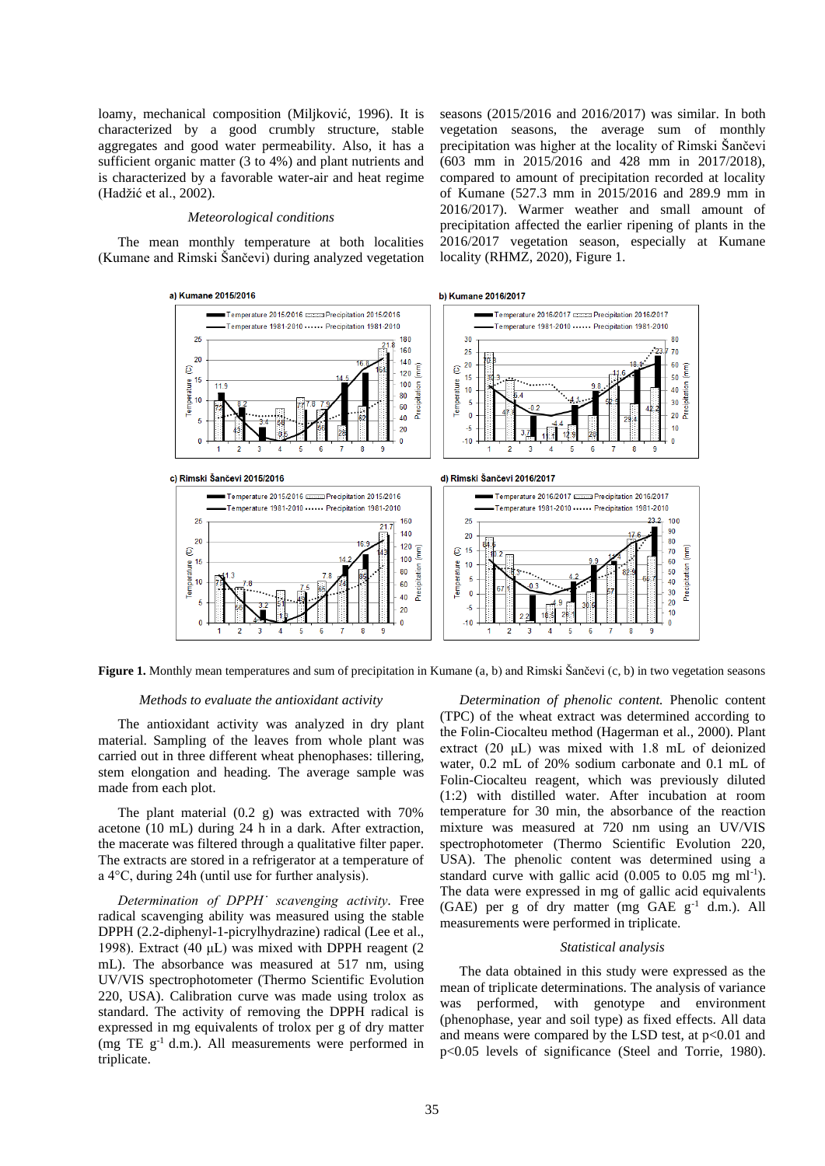loamy, mechanical composition (Miljković, 1996). It is characterized by a good crumbly structure, stable aggregates and good water permeability. Also, it has a sufficient organic matter (3 to 4%) and plant nutrients and is characterized by a favorable water-air and heat regime (Hadžić et al., 2002).

#### *Meteorological conditions*

The mean monthly temperature at both localities (Kumane and Rimski Šančevi) during analyzed vegetation

 $\mathbf{e}$ 

Temperature

vegetation seasons, the average sum of monthly precipitation was higher at the locality of Rimski Šančevi (603 mm in 2015/2016 and 428 mm in 2017/2018), compared to amount of precipitation recorded at locality of Kumane (527.3 mm in 2015/2016 and 289.9 mm in 2016/2017). Warmer weather and small amount of precipitation affected the earlier ripening of plants in the 2016/2017 vegetation season, especially at Kumane locality (RHMZ, 2020), Figure 1.

80

70

60

50

40

 $30$ 

 $20<sup>°</sup>$ 

 $10$ 

Precipitation

seasons (2015/2016 and 2016/2017) was similar. In both







### *Methods to evaluate the antioxidant activity*

The antioxidant activity was analyzed in dry plant material. Sampling of the leaves from whole plant was carried out in three different wheat phenophases: tillering, stem elongation and heading. The average sample was made from each plot.

The plant material (0.2 g) was extracted with 70% acetone (10 mL) during 24 h in a dark. After extraction, the macerate was filtered through a qualitative filter paper. The extracts are stored in a refrigerator at a temperature of a 4°C, during 24h (until use for further analysis).

*Determination of DPPH˙ scavenging activity.* Free radical scavenging ability was measured using the stable DPPH (2.2-diphenyl-1-picrylhydrazine) radical (Lee et al., 1998). Extract (40 μL) was mixed with DPPH reagent (2 mL). The absorbance was measured at 517 nm, using UV/VIS spectrophotometer (Thermo Scientific Evolution 220, USA). Calibration curve was made using trolox as standard. The activity of removing the DPPH radical is expressed in mg equivalents of trolox per g of dry matter (mg TE  $g^{-1}$  d.m.). All measurements were performed in triplicate.

*Determination of phenolic content.* Phenolic content (TPC) of the wheat extract was determined according to the Folin-Ciocalteu method (Hagerman et al., 2000). Plant extract (20 μL) was mixed with 1.8 mL of deionized water, 0.2 mL of 20% sodium carbonate and 0.1 mL of Folin-Ciocalteu reagent, which was previously diluted (1:2) with distilled water. After incubation at room temperature for 30 min, the absorbance of the reaction mixture was measured at 720 nm using an UV/VIS spectrophotometer (Thermo Scientific Evolution 220, USA). The phenolic content was determined using a standard curve with gallic acid  $(0.005$  to  $0.05$  mg ml<sup>-1</sup>). The data were expressed in mg of gallic acid equivalents  $(GAE)$  per g of dry matter (mg  $GAE$  g<sup>-1</sup> d.m.). All measurements were performed in triplicate.

#### *Statistical analysis*

The data obtained in this study were expressed as the mean of triplicate determinations. The analysis of variance was performed, with genotype and environment (phenophase, year and soil type) as fixed effects. All data and means were compared by the LSD test, at  $p<0.01$  and p<0.05 levels of significance (Steel and Torrie, 1980).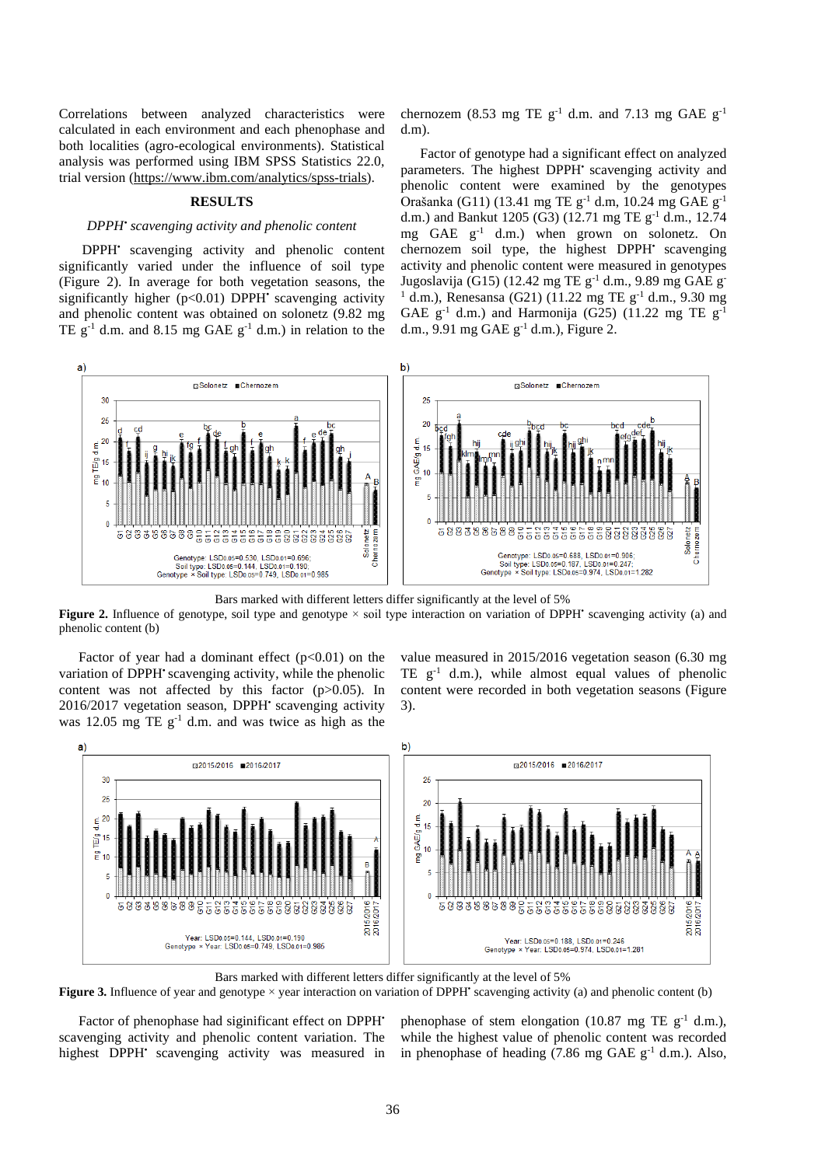Correlations between analyzed characteristics were calculated in each environment and each phenophase and both localities (agro-ecological environments). Statistical analysis was performed using IBM SPSS Statistics 22.0, trial version [\(https://www.ibm.com/analytics/spss-trials\)](https://www.ibm.com/analytics/spss-trials).

### **RESULTS**

## *DPPH• scavenging activity and phenolic content*

DPPH<sup>•</sup> scavenging activity and phenolic content significantly varied under the influence of soil type (Figure 2). In average for both vegetation seasons, the significantly higher  $(p<0.01)$  DPPH<sup> $\cdot$ </sup> scavenging activity and phenolic content was obtained on solonetz (9.82 mg TE  $g^{-1}$  d.m. and 8.15 mg GAE  $g^{-1}$  d.m.) in relation to the

chernozem (8.53 mg TE  $g^{-1}$  d.m. and 7.13 mg GAE  $g^{-1}$ d.m).

Factor of genotype had a significant effect on analyzed parameters. The highest DPPH<sup>•</sup> scavenging activity and phenolic content were examined by the genotypes Orašanka (G11) (13.41 mg TE  $g^{-1}$  d.m, 10.24 mg GAE  $g^{-1}$ d.m.) and Bankut 1205 (G3) (12.71 mg TE  $g^{-1}$  d.m., 12.74 mg GAE g-1 d.m.) when grown on solonetz. On chernozem soil type, the highest DPPH<sup>•</sup> scavenging activity and phenolic content were measured in genotypes Jugoslavija (G15) (12.42 mg TE  $g^{-1}$  d.m., 9.89 mg GAE g  $1$  d.m.), Renesansa (G21) (11.22 mg TE g<sup>-1</sup> d.m., 9.30 mg GAE  $g^{-1}$  d.m.) and Harmonija (G25) (11.22 mg TE  $g^{-1}$ d.m., 9.91 mg GAE  $g^{-1}$  d.m.), Figure 2.



Bars marked with different letters differ significantly at the level of 5%

**Figure 2.** Influence of genotype, soil type and genotype × soil type interaction on variation of DPPH<sup>•</sup> scavenging activity (a) and phenolic content (b)

Factor of year had a dominant effect  $(p<0.01)$  on the variation of DPPH<sup>•</sup> scavenging activity, while the phenolic content was not affected by this factor (p>0.05). In 2016/2017 vegetation season, DPPH<sup>•</sup> scavenging activity was 12.05 mg TE  $g^{-1}$  d.m. and was twice as high as the

value measured in 2015/2016 vegetation season (6.30 mg TE  $g^{-1}$  d.m.), while almost equal values of phenolic content were recorded in both vegetation seasons (Figure 3).



Bars marked with different letters differ significantly at the level of 5% **Figure 3.** Influence of year and genotype  $\times$  year interaction on variation of DPPH<sup>•</sup> scavenging activity (a) and phenolic content (b)

Factor of phenophase had siginificant effect on DPPH<sup>•</sup> scavenging activity and phenolic content variation. The highest DPPH<sup>•</sup> scavenging activity was measured in phenophase of stem elongation (10.87 mg TE  $g^{-1}$  d.m.), while the highest value of phenolic content was recorded in phenophase of heading  $(7.86 \text{ mg } GAE \text{ g}^{-1} \text{ d.m.})$ . Also,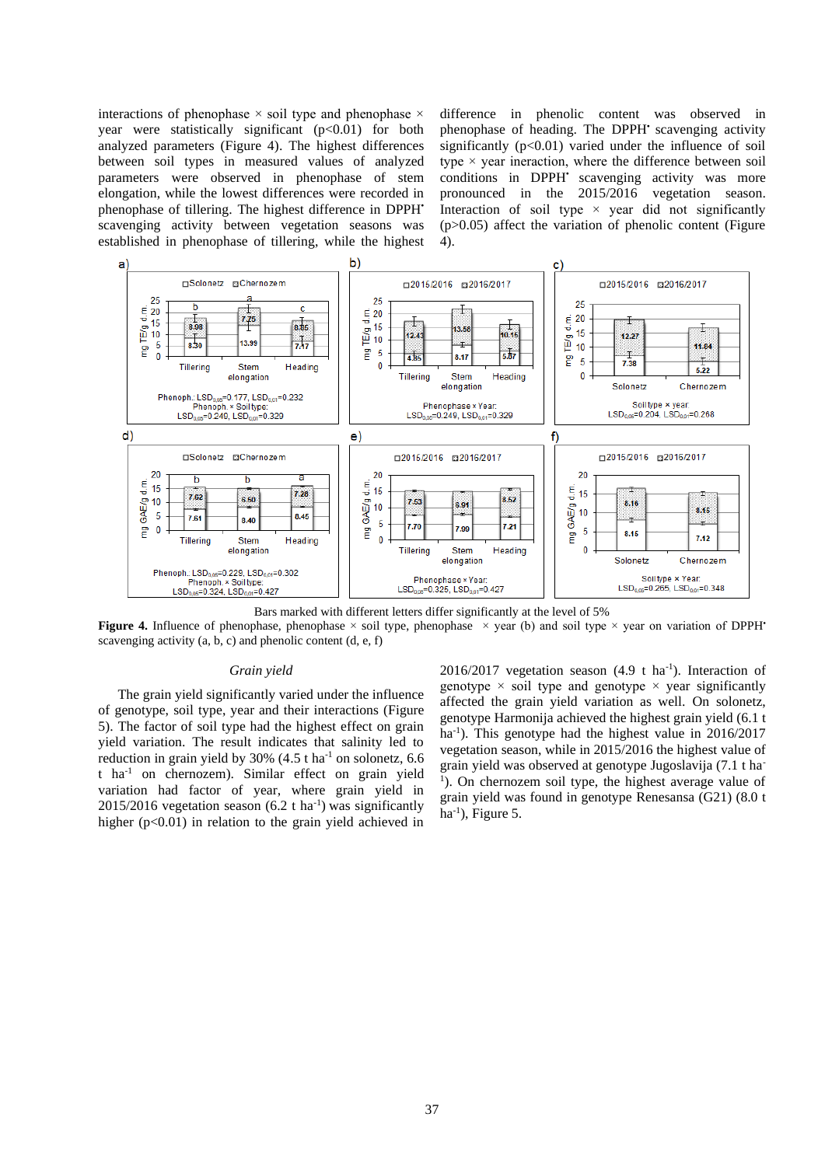interactions of phenophase  $\times$  soil type and phenophase  $\times$ year were statistically significant  $(p<0.01)$  for both analyzed parameters (Figure 4). The highest differences between soil types in measured values of analyzed parameters were observed in phenophase of stem elongation, while the lowest differences were recorded in phenophase of tillering. The highest difference in DPPH<sup>•</sup> scavenging activity between vegetation seasons was established in phenophase of tillering, while the highest difference in phenolic content was observed in phenophase of heading. The DPPH<sup>•</sup> scavenging activity significantly  $(p<0.01)$  varied under the influence of soil type  $\times$  year ineraction, where the difference between soil conditions in DPPH<sup>•</sup> scavenging activity was more pronounced in the 2015/2016 vegetation season. Interaction of soil type  $\times$  year did not significantly  $(p>0.05)$  affect the variation of phenolic content (Figure 4).



Bars marked with different letters differ significantly at the level of 5%

**Figure 4.** Influence of phenophase, phenophase × soil type, phenophase × year (b) and soil type × year on variation of DPPH<sup>•</sup> scavenging activity  $(a, b, c)$  and phenolic content  $(d, e, f)$ 

#### *Grain yield*

The grain yield significantly varied under the influence of genotype, soil type, year and their interactions (Figure 5). The factor of soil type had the highest effect on grain yield variation. The result indicates that salinity led to reduction in grain yield by  $30\%$  (4.5 t ha<sup>-1</sup> on solonetz, 6.6 t ha-1 on chernozem). Similar effect on grain yield variation had factor of year, where grain yield in  $2015/2016$  vegetation season  $(6.2 \text{ t ha}^{-1})$  was significantly higher  $(p<0.01)$  in relation to the grain yield achieved in

 $2016/2017$  vegetation season (4.9 t ha<sup>-1</sup>). Interaction of genotype  $\times$  soil type and genotype  $\times$  year significantly affected the grain yield variation as well. On solonetz, genotype Harmonija achieved the highest grain yield (6.1 t ha<sup>-1</sup>). This genotype had the highest value in 2016/2017 vegetation season, while in 2015/2016 the highest value of grain yield was observed at genotype Jugoslavija (7.1 t ha-<sup>1</sup>). On chernozem soil type, the highest average value of grain yield was found in genotype Renesansa (G21) (8.0 t  $ha^{-1}$ ), Figure 5.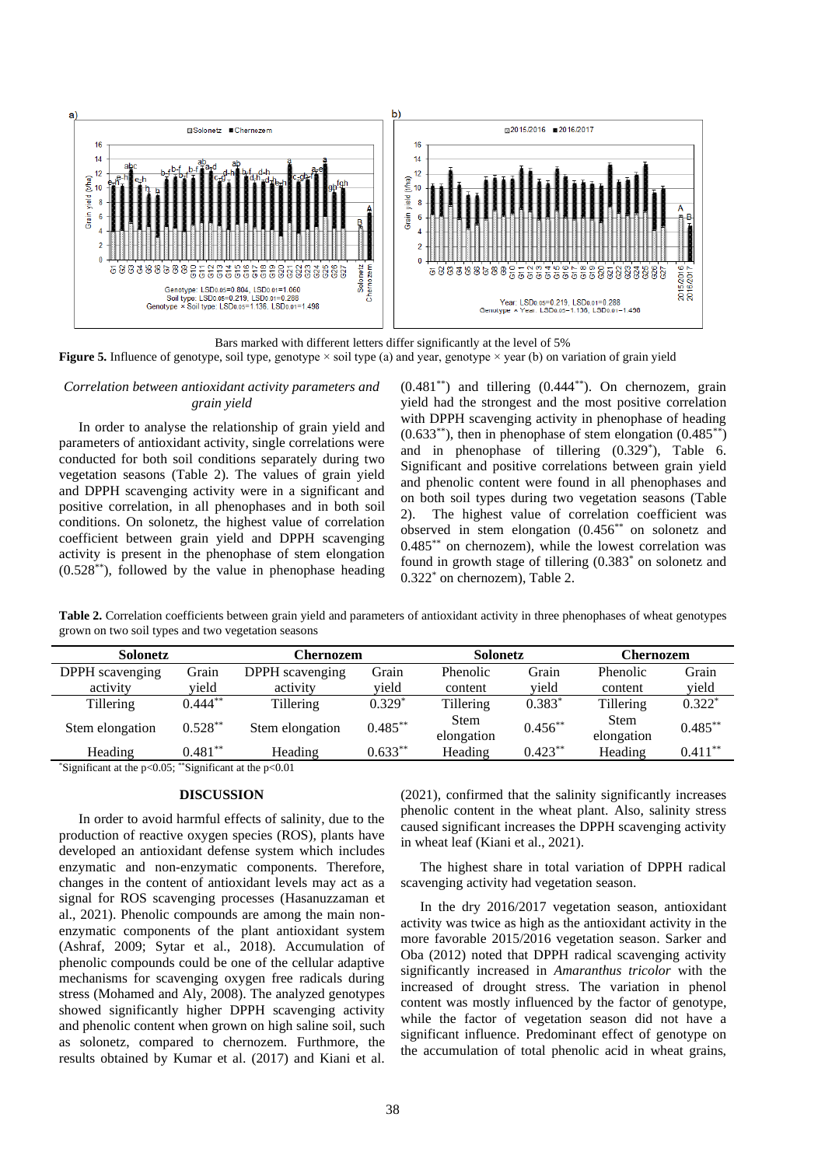

Bars marked with different letters differ significantly at the level of 5% **Figure 5.** Influence of genotype, soil type, genotype × soil type (a) and year, genotype × year (b) on variation of grain yield

# *Correlation between antioxidant activity parameters and grain yield*

In order to analyse the relationship of grain yield and parameters of antioxidant activity, single correlations were conducted for both soil conditions separately during two vegetation seasons (Table 2). The values of grain yield and DPPH scavenging activity were in a significant and positive correlation, in all phenophases and in both soil conditions. On solonetz, the highest value of correlation coefficient between grain yield and DPPH scavenging activity is present in the phenophase of stem elongation  $(0.528^{**})$ , followed by the value in phenophase heading

 $(0.481^{**})$  and tillering  $(0.444^{**})$ . On chernozem, grain yield had the strongest and the most positive correlation with DPPH scavenging activity in phenophase of heading  $(0.633^{**})$ , then in phenophase of stem elongation  $(0.485^{**})$ and in phenophase of tillering (0.329\* ), Table 6. Significant and positive correlations between grain yield and phenolic content were found in all phenophases and on both soil types during two vegetation seasons (Table 2). The highest value of correlation coefficient was observed in stem elongation (0.456\*\* on solonetz and  $0.485$ <sup>\*\*</sup> on chernozem), while the lowest correlation was found in growth stage of tillering (0.383\* on solonetz and 0.322\* on chernozem), Table 2.

**Table 2.** Correlation coefficients between grain yield and parameters of antioxidant activity in three phenophases of wheat genotypes grown on two soil types and two vegetation seasons

| Solonetz        |            | Chernozem       |            | Solonetz                  |            | <b>Chernozem</b>          |            |
|-----------------|------------|-----------------|------------|---------------------------|------------|---------------------------|------------|
| DPPH scavenging | Grain      | DPPH scavenging | Grain      | Phenolic                  | Grain      | Phenolic                  | Grain      |
| activity        | vield      | activity        | vield      | content                   | vield      | content                   | vield      |
| Tillering       | $0.444**$  | Tillering       | $0.329*$   | Tillering                 | $0.383*$   | Tillering                 | $0.322*$   |
| Stem elongation | $0.528**$  | Stem elongation | $0.485***$ | <b>Stem</b><br>elongation | $0.456**$  | <b>Stem</b><br>elongation | $0.485***$ |
| Heading         | $0.481***$ | Heading         | $0.633***$ | Heading                   | $0.423***$ | Heading                   | $0.411***$ |

\*Significant at the p<0.05; \*\*Significant at the  $p<0.01$ 

## **DISCUSSION**

In order to avoid harmful effects of salinity, due to the production of reactive oxygen species (ROS), plants have developed an antioxidant defense system which includes enzymatic and non-enzymatic components. Therefore, changes in the content of antioxidant levels may act as a signal for ROS scavenging processes (Hasanuzzaman et al., 2021). Phenolic compounds are among the main nonenzymatic components of the plant antioxidant system (Ashraf, 2009; Sytar et al., 2018). Accumulation of phenolic compounds could be one of the cellular adaptive mechanisms for scavenging oxygen free radicals during stress (Mohamed and Aly, 2008). The analyzed genotypes showed significantly higher DPPH scavenging activity and phenolic content when grown on high saline soil, such as solonetz, compared to chernozem. Furthmore, the results obtained by Kumar et al. (2017) and Kiani et al.

(2021), confirmed that the salinity significantly increases phenolic content in the wheat plant. Also, salinity stress caused significant increases the DPPH scavenging activity in wheat leaf (Kiani et al., 2021).

The highest share in total variation of DPPH radical scavenging activity had vegetation season.

In the dry 2016/2017 vegetation season, antioxidant activity was twice as high as the antioxidant activity in the more favorable 2015/2016 vegetation season. Sarker and Oba (2012) noted that DPPH radical scavenging activity significantly increased in *Amaranthus tricolor* with the increased of drought stress. The variation in phenol content was mostly influenced by the factor of genotype, while the factor of vegetation season did not have a significant influence. Predominant effect of genotype on the accumulation of total phenolic acid in wheat grains,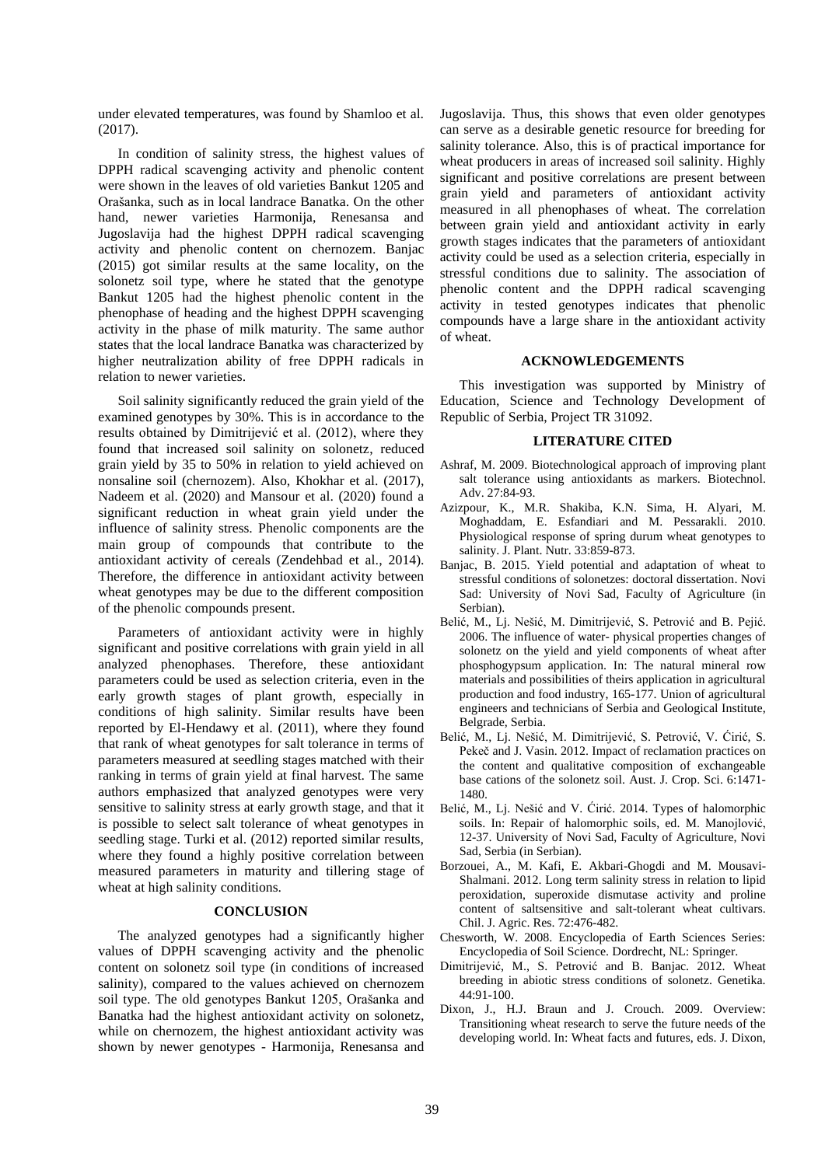under elevated temperatures, was found by Shamloo et al. (2017).

In condition of salinity stress, the highest values of DPPH radical scavenging activity and phenolic content were shown in the leaves of old varieties Bankut 1205 and Orašanka, such as in local landrace Banatka. On the other hand, newer varieties Harmonija, Renesansa and Jugoslavija had the highest DPPH radical scavenging activity and phenolic content on chernozem. Banjac (2015) got similar results at the same locality, on the solonetz soil type, where he stated that the genotype Bankut 1205 had the highest phenolic content in the phenophase of heading and the highest DPPH scavenging activity in the phase of milk maturity. The same author states that the local landrace Banatka was characterized by higher neutralization ability of free DPPH radicals in relation to newer varieties.

Soil salinity significantly reduced the grain yield of the examined genotypes by 30%. This is in accordance to the results obtained by Dimitrijević et al. (2012), where they found that increased soil salinity on solonetz, reduced grain yield by 35 to 50% in relation to yield achieved on nonsaline soil (chernozem). Also, Khokhar et al. (2017), Nadeem et al. (2020) and Mansour et al. (2020) found a significant reduction in wheat grain yield under the influence of salinity stress. Phenolic components are the main group of compounds that contribute to the antioxidant activity of cereals (Zendehbad et al., 2014). Therefore, the difference in antioxidant activity between wheat genotypes may be due to the different composition of the phenolic compounds present.

Parameters of antioxidant activity were in highly significant and positive correlations with grain yield in all analyzed phenophases. Therefore, these antioxidant parameters could be used as selection criteria, even in the early growth stages of plant growth, especially in conditions of high salinity. Similar results have been reported by El-Hendawy et al. (2011), where they found that rank of wheat genotypes for salt tolerance in terms of parameters measured at seedling stages matched with their ranking in terms of grain yield at final harvest. The same authors emphasized that analyzed genotypes were very sensitive to salinity stress at early growth stage, and that it is possible to select salt tolerance of wheat genotypes in seedling stage. Turki et al. (2012) reported similar results, where they found a highly positive correlation between measured parameters in maturity and tillering stage of wheat at high salinity conditions.

## **CONCLUSION**

The analyzed genotypes had a significantly higher values of DPPH scavenging activity and the phenolic content on solonetz soil type (in conditions of increased salinity), compared to the values achieved on chernozem soil type. The old genotypes Bankut 1205, Orašanka and Banatka had the highest antioxidant activity on solonetz, while on chernozem, the highest antioxidant activity was shown by newer genotypes - Harmonija, Renesansa and Jugoslavija. Thus, this shows that even older genotypes can serve as a desirable genetic resource for breeding for salinity tolerance. Also, this is of practical importance for wheat producers in areas of increased soil salinity. Highly significant and positive correlations are present between grain yield and parameters of antioxidant activity measured in all phenophases of wheat. The correlation between grain yield and antioxidant activity in early growth stages indicates that the parameters of antioxidant activity could be used as a selection criteria, especially in stressful conditions due to salinity. The association of phenolic content and the DPPH radical scavenging activity in tested genotypes indicates that phenolic compounds have a large share in the antioxidant activity of wheat.

#### **ACKNOWLEDGEMENTS**

This investigation was supported by Ministry of Education, Science and Technology Development of Republic of Serbia, Project TR 31092.

## **LITERATURE CITED**

- Ashraf, M. 2009. Biotechnological approach of improving plant salt tolerance using antioxidants as markers. Biotechnol. Adv. 27:84-93.
- Azizpour, K., M.R. Shakiba, K.N. Sima, H. Alyari, M. Moghaddam, E. Esfandiari and M. Pessarakli. 2010. Physiological response of spring durum wheat genotypes to salinity. J. Plant. Nutr. 33:859-873.
- Banjac, B. 2015. Yield potential and adaptation of wheat to stressful conditions of solonetzes: doctoral dissertation. Novi Sad: University of Novi Sad, Faculty of Agriculture (in Serbian).
- Belić, M., Lj. Nešić, M. Dimitrijević, S. Petrović and B. Pejić. 2006. The influence of water- physical properties changes of solonetz on the yield and yield components of wheat after phosphogypsum application. In: The natural mineral row materials and possibilities of theirs application in agricultural production and food industry, 165-177. Union of agricultural engineers and technicians of Serbia and Geological Institute, Belgrade, Serbia.
- Belić, M., Lj. Nešić, M. Dimitrijević, S. Petrović, V. Ćirić, S. Pekeč and J. Vasin. 2012. Impact of reclamation practices on the content and qualitative composition of exchangeable base cations of the solonetz soil. Aust. J. Crop. Sci. 6:1471- 1480.
- Belić, M., Lj. Nešić and V. Ćirić. 2014. Types of halomorphic soils. In: Repair of halomorphic soils, ed. M. Manojlović, 12-37. University of Novi Sad, Faculty of Agriculture, Novi Sad, Serbia (in Serbian).
- Borzouei, A., M. Kafi, E. Akbari-Ghogdi and M. Mousavi-Shalmani. 2012. Long term salinity stress in relation to lipid peroxidation, superoxide dismutase activity and proline content of saltsensitive and salt-tolerant wheat cultivars. Chil. J. Agric. Res. 72:476-482.
- Chesworth, W. 2008. Encyclopedia of Earth Sciences Series: Encyclopedia of Soil Science. Dordrecht, NL: Springer.
- Dimitrijević, M., S. Petrović and B. Banjac. 2012. Wheat breeding in abiotic stress conditions of solonetz. Genetika. 44:91-100.
- Dixon, J., H.J. Braun and J. Crouch. 2009. Overview: Transitioning wheat research to serve the future needs of the developing world. In: Wheat facts and futures, eds. J. Dixon,